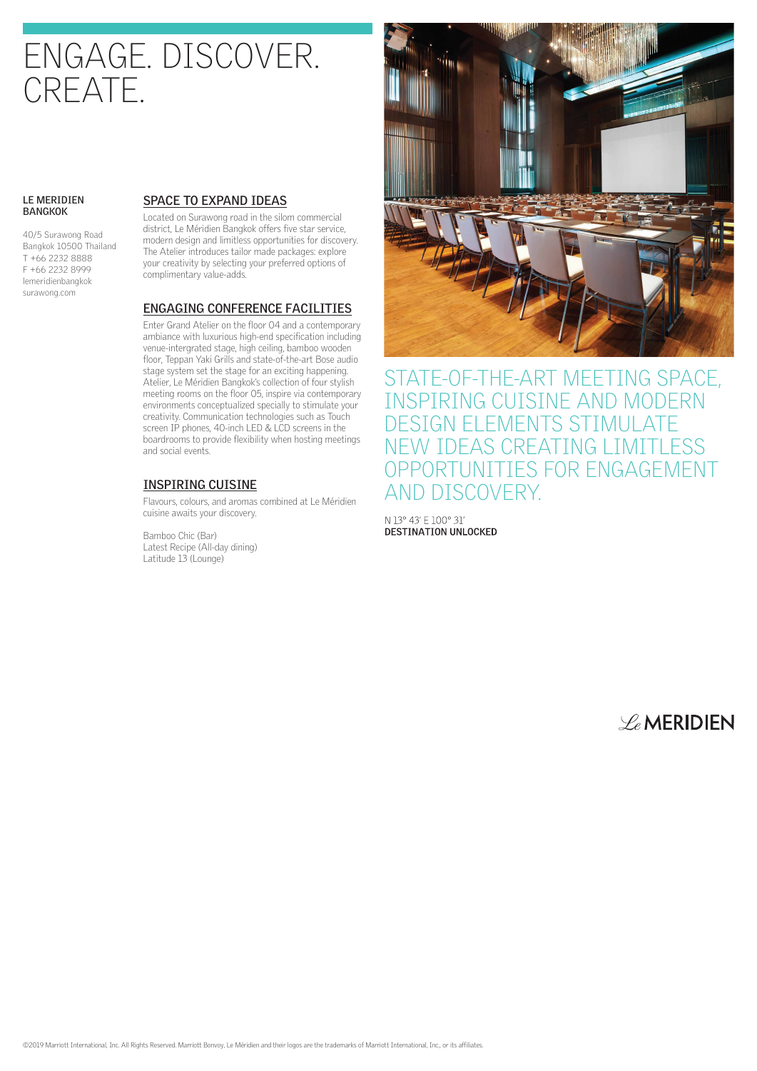# ENGAGE. DISCOVER. CREATE.

#### **LE MERIDIEN BANGKOK**

40/5 Surawong Road Bangkok 10500 Thailand T +66 2232 8888 F +66 2232 8999 lemeridienbangkok surawong.com

#### **SPACE TO EXPAND IDEAS**

Located on Surawong road in the silom commercial district, Le Méridien Bangkok offers five star service, modern design and limitless opportunities for discovery. The Atelier introduces tailor made packages: explore your creativity by selecting your preferred options of complimentary value-adds.

#### **ENGAGING CONFERENCE FACILITIES**

Enter Grand Atelier on the floor 04 and a contemporary ambiance with luxurious high-end specification including venue-intergrated stage, high ceiling, bamboo wooden floor, Teppan Yaki Grills and state-of-the-art Bose audio stage system set the stage for an exciting happening. Atelier, Le Méridien Bangkok's collection of four stylish meeting rooms on the floor 05, inspire via contemporary environments conceptualized specially to stimulate your creativity. Communication technologies such as Touch screen IP phones, 40-inch LED & LCD screens in the boardrooms to provide flexibility when hosting meetings and social events.

#### **INSPIRING CUISINE**

Flavours, colours, and aromas combined at Le Méridien cuisine awaits your discovery.

Bamboo Chic (Bar) Latest Recipe (All-day dining) Latitude 13 (Lounge)



STATE-OF-THE-ART MEETING SPACE, INSPIRING CUISINE AND MODERN DESIGN ELEMENTS STIMULATE NEW IDEAS CREATING LIMITLESS OPPORTUNITIES FOR ENGAGEMENT AND DISCOVERY.

N 13° 43' E 100° 31' **DESTINATION UNLOCKED** 

 $\mathscr{L}_{e}$ MERIDIEN